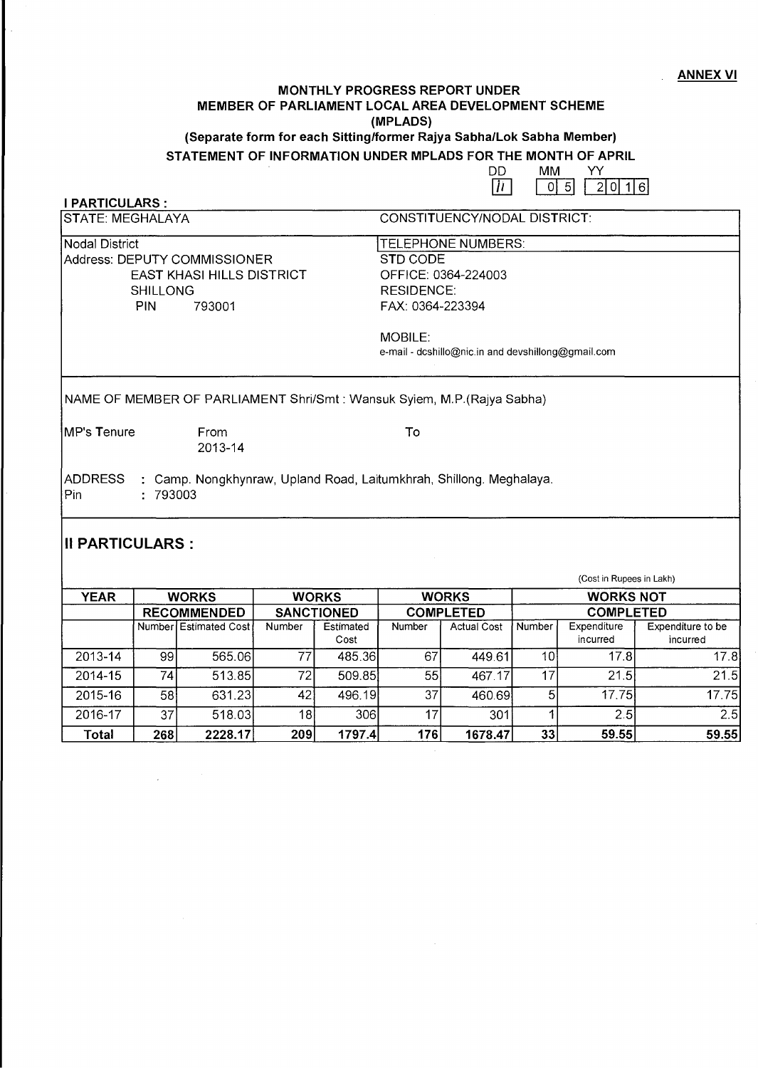#### ANNEX VI

### **MONTHLY PROGRESS REPORT UNDER MEMBER OF PARLIAMENT LOCAL AREA DEVELOPMENT SCHEME (MPLADS) (Separate form for each Sitting/former Rajya Sabha/Lok Sabha Member)**

# **STATEMENT OF INFORMATION UNDER MPLADS FOR THE MONTH OF APRIL<br>DDMM YY**

 $\begin{array}{ccc} 2 & \text{OM} \\ \hline \overline{11} & \overline{0} \end{array}$  $[0] 5$   $[2] 0 16$ 

**I PARTICULARS·** 

| ISTATE: MEGHALAYA                | CONSTITUENCY/NODAL DISTRICT:                                             |
|----------------------------------|--------------------------------------------------------------------------|
| Nodal District                   | TELEPHONE NUMBERS:                                                       |
| Address: DEPUTY COMMISSIONER     | STD CODE                                                                 |
| <b>EAST KHASI HILLS DISTRICT</b> | OFFICE: 0364-224003                                                      |
| <b>SHILLONG</b>                  | <b>RESIDENCE:</b>                                                        |
| PIN.<br>793001                   | FAX: 0364-223394                                                         |
|                                  | <b>MOBILE:</b>                                                           |
|                                  | e-mail - dcshillo@nic.in and devshillong@gmail.com                       |
|                                  | NAME OF MEMBER OF PARLIAMENT Shri/Smt : Wansuk Syiem, M.P. (Rajya Sabha) |
| <b>IMP's Tenure</b><br>From      | To                                                                       |
| 2013-14                          |                                                                          |
| ADDRESS<br>Pin<br>: 793003       | : Camp. Nongkhynraw, Upland Road, Laitumkhrah, Shillong. Meghalaya.      |
|                                  |                                                                          |
|                                  |                                                                          |

#### **II PARTICULARS:**

(Cost in Rupees in Lakh)

| <b>YEAR</b> | <b>WORKS</b>       |                       | <b>WORKS</b>      |                   | <b>WORKS</b>     |                    | <b>WORKS NOT</b> |                         |                               |
|-------------|--------------------|-----------------------|-------------------|-------------------|------------------|--------------------|------------------|-------------------------|-------------------------------|
|             | <b>RECOMMENDED</b> |                       | <b>SANCTIONED</b> |                   | <b>COMPLETED</b> |                    | <b>COMPLETED</b> |                         |                               |
|             |                    | Number Estimated Cost | Number            | Estimated<br>Cost | <b>Number</b>    | <b>Actual Cost</b> | Number           | Expenditure<br>incurred | Expenditure to be<br>incurred |
| 2013-14     | -991               | 565.06                | 77                | 485.36            | 67               | 449.61             | 10               | 17.8                    | 17.8                          |
| 2014-15     | 741                | 513.85                | 72.               | 509.85            | 55               | 467.17             | 17               | 21.5                    | 21.5                          |
| 2015-16     | 58                 | 631.23                | 42                | 496.19            | 37               | 460.69             | $5 \mid$         | 17.75                   | 17.75                         |
| 2016-17     | 37 <sub>1</sub>    | 518.03                | 181               | 306l              | 17               | 301                |                  | 2.5                     | 2.5                           |
| Total       | 268                | 2228.17               | 209               | 1797.4            | 176              | 1678.47            | 33               | 59.55                   | 59.55                         |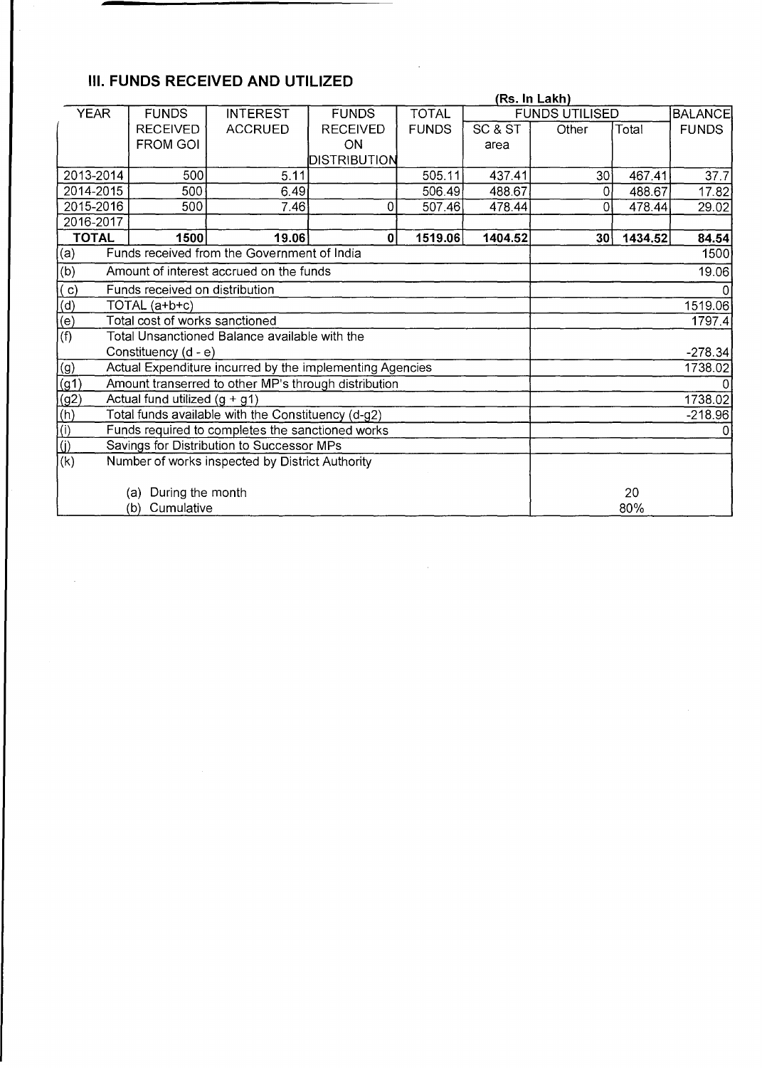## **III. FUNDS RECEIVED AND UTILIZED**

|                                                                                                  | (Rs. In Lakh)                                                   |                                                      |                     |              |         |                       |                |              |
|--------------------------------------------------------------------------------------------------|-----------------------------------------------------------------|------------------------------------------------------|---------------------|--------------|---------|-----------------------|----------------|--------------|
| <b>YEAR</b>                                                                                      | <b>TOTAL</b><br><b>FUNDS</b><br><b>INTEREST</b><br><b>FUNDS</b> |                                                      |                     |              |         | <b>FUNDS UTILISED</b> | <b>BALANCE</b> |              |
|                                                                                                  | <b>RECEIVED</b>                                                 | <b>ACCRUED</b>                                       | <b>RECEIVED</b>     | <b>FUNDS</b> | SC & ST | Other                 | Total          | <b>FUNDS</b> |
|                                                                                                  | <b>FROM GOI</b>                                                 |                                                      | ON                  |              | area    |                       |                |              |
|                                                                                                  |                                                                 |                                                      | <b>DISTRIBUTION</b> |              |         |                       |                |              |
| 2013-2014                                                                                        | 500                                                             | 5.11                                                 |                     | 505.11       | 437.41  | 30 <sup>1</sup>       | 467.41         | 37.7         |
| 2014-2015                                                                                        | 500                                                             | 6.49                                                 |                     | 506.49       | 488.67  | $\mathbf 0$           | 488.67         | 17.82        |
| 2015-2016                                                                                        | 500                                                             | 7.46                                                 | $\Omega$            | 507.46       | 478.44  | $\Omega$              | 478.44         | 29.02        |
| 2016-2017                                                                                        |                                                                 |                                                      |                     |              |         |                       |                |              |
| <b>TOTAL</b>                                                                                     | 1500                                                            | 19.06                                                | 0                   | 1519.06      | 1404.52 | 30                    | 1434.52        | 84.54        |
| (a)                                                                                              |                                                                 | Funds received from the Government of India          |                     |              |         |                       |                | 1500         |
| $\overline{(b)}$                                                                                 |                                                                 | Amount of interest accrued on the funds              |                     |              |         | 19.06                 |                |              |
| (c)                                                                                              | Funds received on distribution                                  |                                                      |                     |              |         | 0                     |                |              |
| $\frac{d}{d}$<br>$\frac{d}{e}$<br>$\frac{d}{d}$                                                  | TOTAL (a+b+c)                                                   |                                                      |                     |              |         | 1519.06               |                |              |
|                                                                                                  | Total cost of works sanctioned                                  |                                                      |                     |              |         | 1797.4                |                |              |
|                                                                                                  |                                                                 | Total Unsanctioned Balance available with the        |                     |              |         |                       |                |              |
| Constituency (d - e)                                                                             |                                                                 |                                                      |                     |              |         |                       |                | $-278.34$    |
| (g)                                                                                              | Actual Expenditure incurred by the implementing Agencies        |                                                      |                     |              |         |                       |                | 1738.02      |
|                                                                                                  |                                                                 | Amount transerred to other MP's through distribution |                     |              |         |                       |                |              |
| $\frac{(g1)}{(g2)}$<br>$\frac{(h)}{(l)}$<br>$\frac{(j)}{(k)}$<br>Actual fund utilized $(g + g1)$ |                                                                 |                                                      |                     |              |         |                       |                | 1738.02      |
| Total funds available with the Constituency (d-g2)                                               |                                                                 |                                                      | $-218.96$           |              |         |                       |                |              |
| Funds required to completes the sanctioned works                                                 |                                                                 |                                                      | 0l                  |              |         |                       |                |              |
| Savings for Distribution to Successor MPs                                                        |                                                                 |                                                      |                     |              |         |                       |                |              |
| Number of works inspected by District Authority                                                  |                                                                 |                                                      |                     |              |         |                       |                |              |
| During the month                                                                                 |                                                                 |                                                      |                     |              |         |                       |                |              |
| (a)                                                                                              | 20                                                              |                                                      |                     |              |         |                       |                |              |
| (b)                                                                                              | 80%                                                             |                                                      |                     |              |         |                       |                |              |

 $\sim$